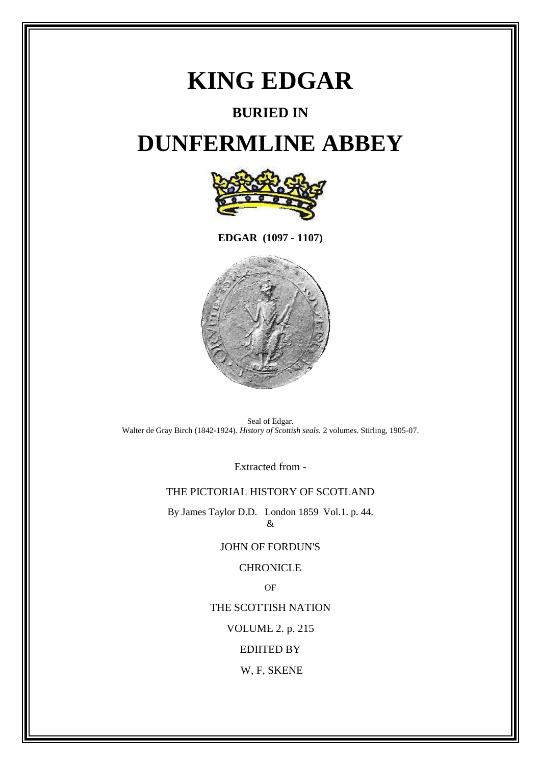# **KING EDGAR**

### **BURIED IN**

## **DUNFERMLINE ABBEY**



**EDGAR (1097 - 1107)**



Seal of Edgar. Walter de Gray Birch (1842-1924). *History of Scottish seals.* 2 volumes. Stirling, 1905-07.

Extracted from -

#### THE PICTORIAL HISTORY OF SCOTLAND

By James Taylor D.D. London 1859 Vol.1. p. 44.  $\&$ 

#### JOHN OF FORDUN'S

#### **CHRONICLE**

OF

THE SCOTTISH NATION

VOLUME 2. p. 215

EDIITED BY

W, F, SKENE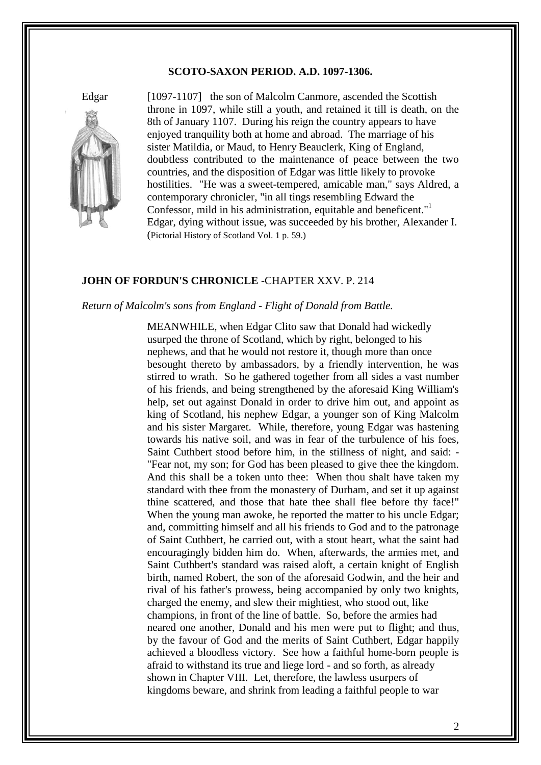#### **SCOTO-SAXON PERIOD. A.D. 1097-1306.**



Edgar [1097-1107] the son of Malcolm Canmore, ascended the Scottish throne in 1097, while still a youth, and retained it till is death, on the 8th of January 1107. During his reign the country appears to have enjoyed tranquility both at home and abroad. The marriage of his sister Matildia, or Maud, to Henry Beauclerk, King of England, doubtless contributed to the maintenance of peace between the two countries, and the disposition of Edgar was little likely to provoke hostilities. "He was a sweet-tempered, amicable man," says Aldred, a contemporary chronicler, "in all tings resembling Edward the Confessor, mild in his administration, equitable and beneficent."<sup>1</sup> Edgar, dying without issue, was succeeded by his brother, Alexander I. (Pictorial History of Scotland Vol. 1 p. 59.)

#### **JOHN OF FORDUN'S CHRONICLE** -CHAPTER XXV. P. 214

#### *Return of Malcolm's sons from England - Flight of Donald from Battle.*

 MEANWHILE, when Edgar Clito saw that Donald had wickedly usurped the throne of Scotland, which by right, belonged to his nephews, and that he would not restore it, though more than once besought thereto by ambassadors, by a friendly intervention, he was stirred to wrath. So he gathered together from all sides a vast number of his friends, and being strengthened by the aforesaid King William's help, set out against Donald in order to drive him out, and appoint as king of Scotland, his nephew Edgar, a younger son of King Malcolm and his sister Margaret. While, therefore, young Edgar was hastening towards his native soil, and was in fear of the turbulence of his foes, Saint Cuthbert stood before him, in the stillness of night, and said: - "Fear not, my son; for God has been pleased to give thee the kingdom. And this shall be a token unto thee: When thou shalt have taken my standard with thee from the monastery of Durham, and set it up against thine scattered, and those that hate thee shall flee before thy face!" When the young man awoke, he reported the matter to his uncle Edgar; and, committing himself and all his friends to God and to the patronage of Saint Cuthbert, he carried out, with a stout heart, what the saint had encouragingly bidden him do. When, afterwards, the armies met, and Saint Cuthbert's standard was raised aloft, a certain knight of English birth, named Robert, the son of the aforesaid Godwin, and the heir and rival of his father's prowess, being accompanied by only two knights, charged the enemy, and slew their mightiest, who stood out, like champions, in front of the line of battle. So, before the armies had neared one another, Donald and his men were put to flight; and thus, by the favour of God and the merits of Saint Cuthbert, Edgar happily achieved a bloodless victory. See how a faithful home-born people is afraid to withstand its true and liege lord - and so forth, as already shown in Chapter VIII. Let, therefore, the lawless usurpers of kingdoms beware, and shrink from leading a faithful people to war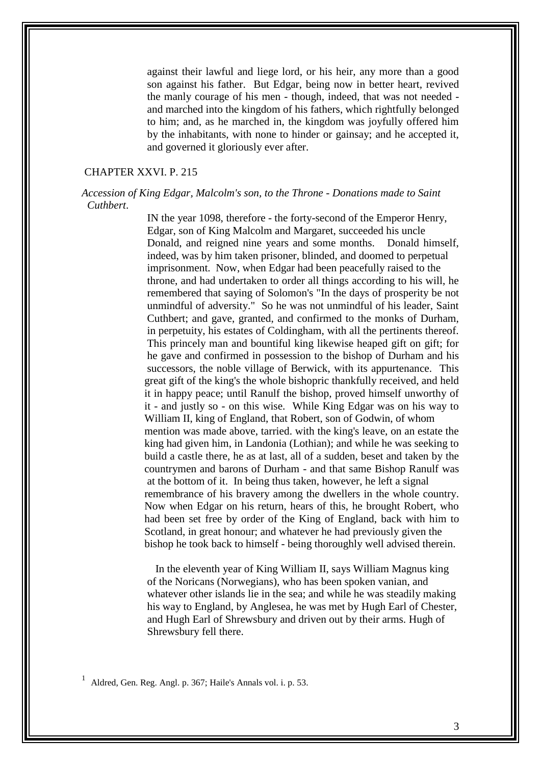against their lawful and liege lord, or his heir, any more than a good son against his father. But Edgar, being now in better heart, revived the manly courage of his men - though, indeed, that was not needed and marched into the kingdom of his fathers, which rightfully belonged to him; and, as he marched in, the kingdom was joyfully offered him by the inhabitants, with none to hinder or gainsay; and he accepted it, and governed it gloriously ever after.

#### CHAPTER XXVI. P. 215

#### *Accession of King Edgar, Malcolm's son, to the Throne - Donations made to Saint Cuthbert*.

IN the year 1098, therefore - the forty-second of the Emperor Henry, Edgar, son of King Malcolm and Margaret, succeeded his uncle Donald, and reigned nine years and some months. Donald himself, indeed, was by him taken prisoner, blinded, and doomed to perpetual imprisonment. Now, when Edgar had been peacefully raised to the throne, and had undertaken to order all things according to his will, he remembered that saying of Solomon's "In the days of prosperity be not unmindful of adversity." So he was not unmindful of his leader, Saint Cuthbert; and gave, granted, and confirmed to the monks of Durham, in perpetuity, his estates of Coldingham, with all the pertinents thereof. This princely man and bountiful king likewise heaped gift on gift; for he gave and confirmed in possession to the bishop of Durham and his successors, the noble village of Berwick, with its appurtenance. This great gift of the king's the whole bishopric thankfully received, and held it in happy peace; until Ranulf the bishop, proved himself unworthy of it - and justly so - on this wise. While King Edgar was on his way to William II, king of England, that Robert, son of Godwin, of whom mention was made above, tarried. with the king's leave, on an estate the king had given him, in Landonia (Lothian); and while he was seeking to build a castle there, he as at last, all of a sudden, beset and taken by the countrymen and barons of Durham - and that same Bishop Ranulf was at the bottom of it. In being thus taken, however, he left a signal remembrance of his bravery among the dwellers in the whole country. Now when Edgar on his return, hears of this, he brought Robert, who had been set free by order of the King of England, back with him to Scotland, in great honour; and whatever he had previously given the bishop he took back to himself - being thoroughly well advised therein.

 In the eleventh year of King William II, says William Magnus king of the Noricans (Norwegians), who has been spoken vanian, and whatever other islands lie in the sea; and while he was steadily making his way to England, by Anglesea, he was met by Hugh Earl of Chester, and Hugh Earl of Shrewsbury and driven out by their arms. Hugh of Shrewsbury fell there.

<sup>1</sup> Aldred, Gen. Reg. Angl. p. 367; Haile's Annals vol. i. p. 53.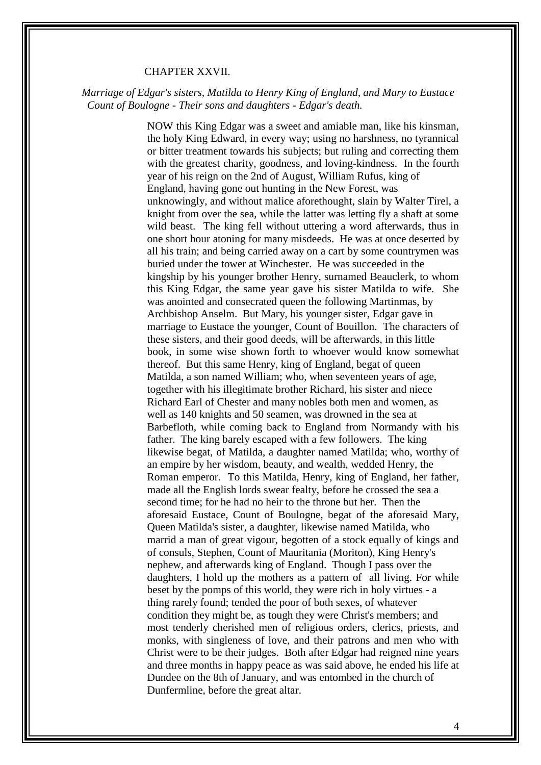#### CHAPTER XXVII.

#### *Marriage of Edgar's sisters, Matilda to Henry King of England, and Mary to Eustace Count of Boulogne - Their sons and daughters - Edgar's death.*

NOW this King Edgar was a sweet and amiable man, like his kinsman, the holy King Edward, in every way; using no harshness, no tyrannical or bitter treatment towards his subjects; but ruling and correcting them with the greatest charity, goodness, and loving-kindness. In the fourth year of his reign on the 2nd of August, William Rufus, king of England, having gone out hunting in the New Forest, was unknowingly, and without malice aforethought, slain by Walter Tirel, a knight from over the sea, while the latter was letting fly a shaft at some wild beast. The king fell without uttering a word afterwards, thus in one short hour atoning for many misdeeds. He was at once deserted by all his train; and being carried away on a cart by some countrymen was buried under the tower at Winchester. He was succeeded in the kingship by his younger brother Henry, surnamed Beauclerk, to whom this King Edgar, the same year gave his sister Matilda to wife. She was anointed and consecrated queen the following Martinmas, by Archbishop Anselm. But Mary, his younger sister, Edgar gave in marriage to Eustace the younger, Count of Bouillon. The characters of these sisters, and their good deeds, will be afterwards, in this little book, in some wise shown forth to whoever would know somewhat thereof. But this same Henry, king of England, begat of queen Matilda, a son named William; who, when seventeen years of age, together with his illegitimate brother Richard, his sister and niece Richard Earl of Chester and many nobles both men and women, as well as 140 knights and 50 seamen, was drowned in the sea at Barbefloth, while coming back to England from Normandy with his father. The king barely escaped with a few followers. The king likewise begat, of Matilda, a daughter named Matilda; who, worthy of an empire by her wisdom, beauty, and wealth, wedded Henry, the Roman emperor. To this Matilda, Henry, king of England, her father, made all the English lords swear fealty, before he crossed the sea a second time; for he had no heir to the throne but her. Then the aforesaid Eustace, Count of Boulogne, begat of the aforesaid Mary, Queen Matilda's sister, a daughter, likewise named Matilda, who marrid a man of great vigour, begotten of a stock equally of kings and of consuls, Stephen, Count of Mauritania (Moriton), King Henry's nephew, and afterwards king of England. Though I pass over the daughters, I hold up the mothers as a pattern of all living. For while beset by the pomps of this world, they were rich in holy virtues - a thing rarely found; tended the poor of both sexes, of whatever condition they might be, as tough they were Christ's members; and most tenderly cherished men of religious orders, clerics, priests, and monks, with singleness of love, and their patrons and men who with Christ were to be their judges. Both after Edgar had reigned nine years and three months in happy peace as was said above, he ended his life at Dundee on the 8th of January, and was entombed in the church of Dunfermline, before the great altar.